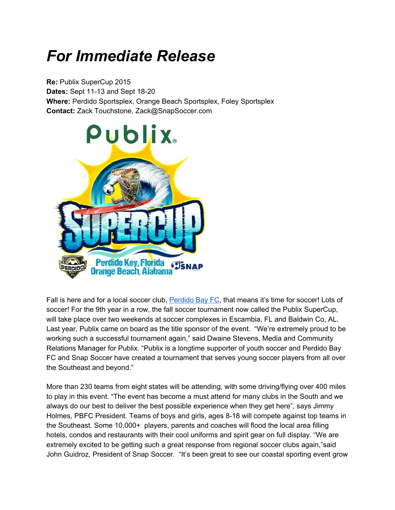## *For Immediate Release*

**Re:** Publix SuperCup 2015 **Dates:** Sept 11-13 and Sept 18-20 **Where: Perdido Sportsplex, Orange Beach Sportsplex, Foley Sportsplex Contact:**Zack Touchstone, Zack@SnapSoccer.com



Fall is here and for a local soccer club, **[Perdido](http://www.perdidobayfc.com/) Bay FC**, that means it's time for soccer! Lots of soccer! For the 9th year in a row, the fall soccer tournament now called the Publix SuperCup, will take place over two weekends at soccer complexes in Escambia, FL and Baldwin Co, AL. Last year, Publix came on board as the title sponsor of the event. "We're extremely proud to be working such a successful tournament again," said Dwaine Stevens, Media and Community Relations Manager for Publix. "Publix is a longtime supporter of youth soccer and Perdido Bay FC and Snap Soccer have created a tournament that serves young soccer players from all over the Southeast and beyond."

More than 230 teams from eight states will be attending, with some driving/flying over 400 miles to play in this event. "The event has become a must attend for many clubs in the South and we always do our best to deliver the best possible experience when they get here", says Jimmy Holmes, PBFC President. Teams of boys and girls, ages 8-18 will compete against top teams in the Southeast. Some 10,000+ players, parents and coaches will flood the local area filling hotels, condos and restaurants with their cool uniforms and spirit gear on full display. "We are extremely excited to be getting such a great response from regional soccer clubs again,"said John Guidroz, President of Snap Soccer. "It's been great to see our coastal sporting event grow